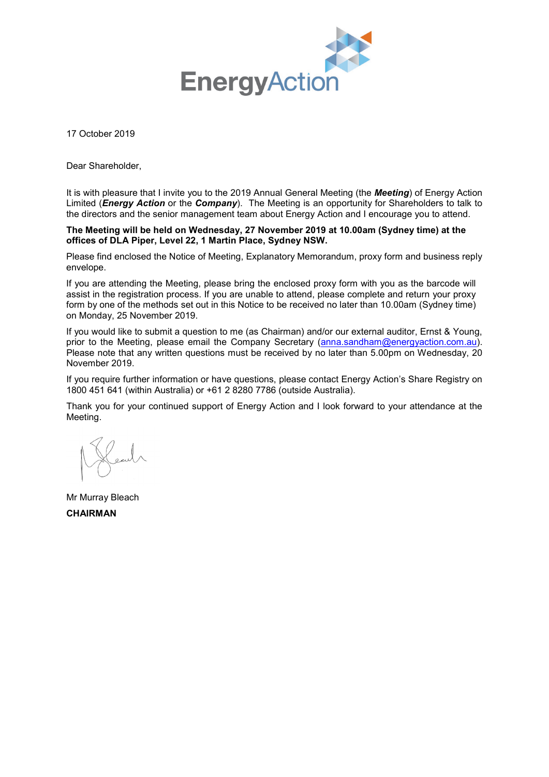

17 October 2019

Dear Shareholder,

It is with pleasure that I invite you to the 2019 Annual General Meeting (the *Meeting*) of Energy Action Limited (*Energy Action* or the *Company*). The Meeting is an opportunity for Shareholders to talk to the directors and the senior management team about Energy Action and I encourage you to attend.

### **The Meeting will be held on Wednesday, 27 November 2019 at 10.00am (Sydney time) at the offices of DLA Piper, Level 22, 1 Martin Place, Sydney NSW.**

Please find enclosed the Notice of Meeting, Explanatory Memorandum, proxy form and business reply envelope.

If you are attending the Meeting, please bring the enclosed proxy form with you as the barcode will assist in the registration process. If you are unable to attend, please complete and return your proxy form by one of the methods set out in this Notice to be received no later than 10.00am (Sydney time) on Monday, 25 November 2019.

If you would like to submit a question to me (as Chairman) and/or our external auditor, Ernst & Young, prior to the Meeting, please email the Company Secretary [\(anna.sandham@energyaction.com.au\)](mailto:anna.sandham@energyaction.com.au). Please note that any written questions must be received by no later than 5.00pm on Wednesday, 20 November 2019.

If you require further information or have questions, please contact Energy Action's Share Registry on 1800 451 641 (within Australia) or +61 2 8280 7786 (outside Australia).

Thank you for your continued support of Energy Action and I look forward to your attendance at the Meeting.

Mr Murray Bleach **CHAIRMAN**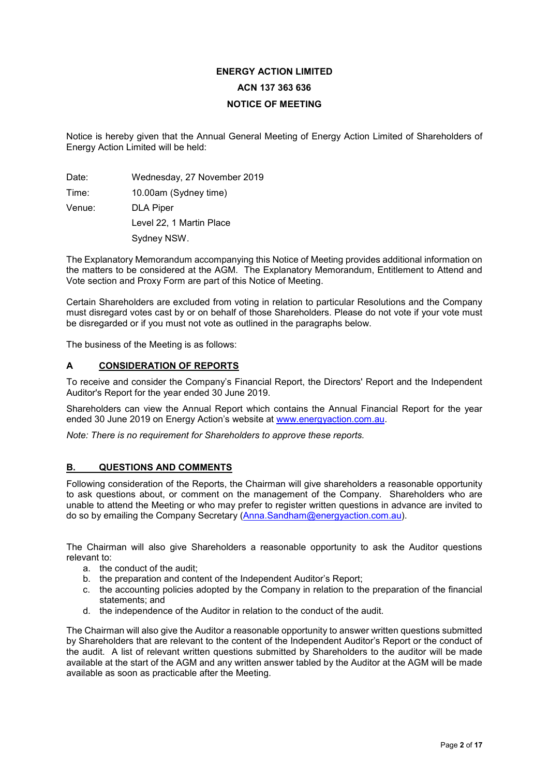# **ENERGY ACTION LIMITED ACN 137 363 636 NOTICE OF MEETING**

Notice is hereby given that the Annual General Meeting of Energy Action Limited of Shareholders of Energy Action Limited will be held:

Date: Wednesday, 27 November 2019 Time: 10.00am (Sydney time) Venue: DLA Piper Level 22, 1 Martin Place Sydney NSW.

The Explanatory Memorandum accompanying this Notice of Meeting provides additional information on the matters to be considered at the AGM. The Explanatory Memorandum, Entitlement to Attend and Vote section and Proxy Form are part of this Notice of Meeting.

Certain Shareholders are excluded from voting in relation to particular Resolutions and the Company must disregard votes cast by or on behalf of those Shareholders. Please do not vote if your vote must be disregarded or if you must not vote as outlined in the paragraphs below.

The business of the Meeting is as follows:

## **A CONSIDERATION OF REPORTS**

To receive and consider the Company's Financial Report, the Directors' Report and the Independent Auditor's Report for the year ended 30 June 2019.

Shareholders can view the Annual Report which contains the Annual Financial Report for the year ended 30 June 2019 on Energy Action's website at [www.energyaction.com.au.](http://www.energyaction.com.au/)

*Note: There is no requirement for Shareholders to approve these reports.*

# **B. QUESTIONS AND COMMENTS**

Following consideration of the Reports, the Chairman will give shareholders a reasonable opportunity to ask questions about, or comment on the management of the Company. Shareholders who are unable to attend the Meeting or who may prefer to register written questions in advance are invited to do so by emailing the Company Secretary [\(Anna.Sandham@energyaction.com.au\)](mailto:Anna.Sandham@energyaction.com.au).

The Chairman will also give Shareholders a reasonable opportunity to ask the Auditor questions relevant to:

- a. the conduct of the audit;
- b. the preparation and content of the Independent Auditor's Report;
- c. the accounting policies adopted by the Company in relation to the preparation of the financial statements; and
- d. the independence of the Auditor in relation to the conduct of the audit.

The Chairman will also give the Auditor a reasonable opportunity to answer written questions submitted by Shareholders that are relevant to the content of the Independent Auditor's Report or the conduct of the audit. A list of relevant written questions submitted by Shareholders to the auditor will be made available at the start of the AGM and any written answer tabled by the Auditor at the AGM will be made available as soon as practicable after the Meeting.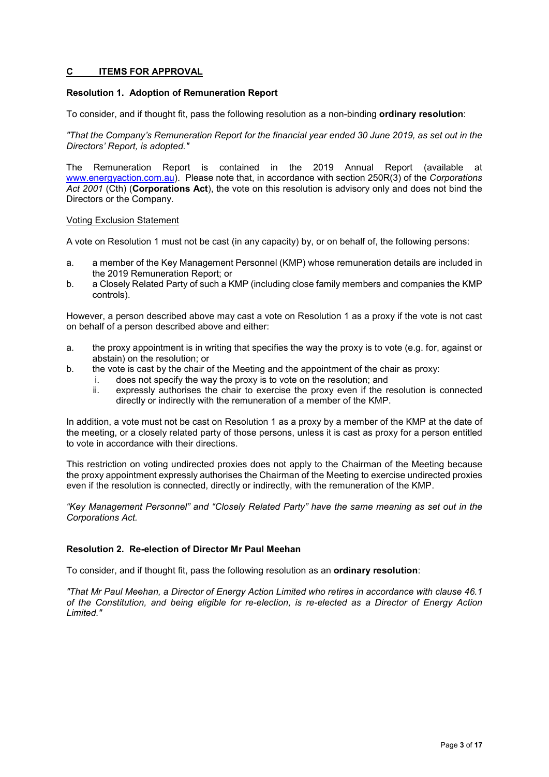### **C ITEMS FOR APPROVAL**

### **Resolution 1. Adoption of Remuneration Report**

To consider, and if thought fit, pass the following resolution as a non-binding **ordinary resolution**:

*"That the Company's Remuneration Report for the financial year ended 30 June 2019, as set out in the Directors' Report, is adopted."*

The Remuneration Report is contained in the 2019 Annual Report (available at [www.energyaction.com.au\)](http://www.energyaction.com.au/). Please note that, in accordance with section 250R(3) of the *Corporations Act 2001* (Cth) (**Corporations Act**), the vote on this resolution is advisory only and does not bind the Directors or the Company.

### Voting Exclusion Statement

A vote on Resolution 1 must not be cast (in any capacity) by, or on behalf of, the following persons:

- a. a member of the Key Management Personnel (KMP) whose remuneration details are included in the 2019 Remuneration Report; or
- b. a Closely Related Party of such a KMP (including close family members and companies the KMP controls).

However, a person described above may cast a vote on Resolution 1 as a proxy if the vote is not cast on behalf of a person described above and either:

- a. the proxy appointment is in writing that specifies the way the proxy is to vote (e.g. for, against or abstain) on the resolution; or
- b. the vote is cast by the chair of the Meeting and the appointment of the chair as proxy:
	- i. does not specify the way the proxy is to vote on the resolution; and
	- ii. expressly authorises the chair to exercise the proxy even if the resolution is connected directly or indirectly with the remuneration of a member of the KMP.

In addition, a vote must not be cast on Resolution 1 as a proxy by a member of the KMP at the date of the meeting, or a closely related party of those persons, unless it is cast as proxy for a person entitled to vote in accordance with their directions.

This restriction on voting undirected proxies does not apply to the Chairman of the Meeting because the proxy appointment expressly authorises the Chairman of the Meeting to exercise undirected proxies even if the resolution is connected, directly or indirectly, with the remuneration of the KMP.

*"Key Management Personnel" and "Closely Related Party" have the same meaning as set out in the Corporations Act.*

### **Resolution 2. Re-election of Director Mr Paul Meehan**

To consider, and if thought fit, pass the following resolution as an **ordinary resolution**:

*"That Mr Paul Meehan, a Director of Energy Action Limited who retires in accordance with clause 46.1 of the Constitution, and being eligible for re-election, is re-elected as a Director of Energy Action Limited."*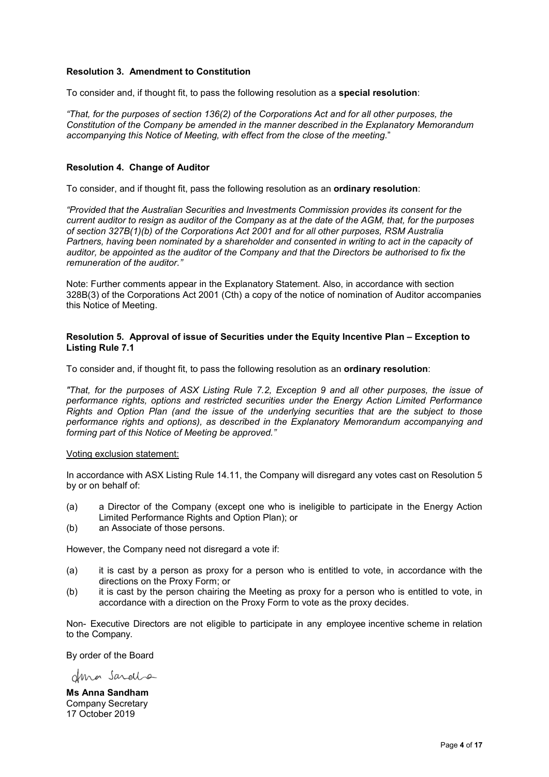### **Resolution 3. Amendment to Constitution**

To consider and, if thought fit, to pass the following resolution as a **special resolution**:

*"That, for the purposes of section 136(2) of the Corporations Act and for all other purposes, the Constitution of the Company be amended in the manner described in the Explanatory Memorandum accompanying this Notice of Meeting, with effect from the close of the meeting.*"

### **Resolution 4. Change of Auditor**

To consider, and if thought fit, pass the following resolution as an **ordinary resolution**:

*"Provided that the Australian Securities and Investments Commission provides its consent for the current auditor to resign as auditor of the Company as at the date of the AGM, that, for the purposes of section 327B(1)(b) of the Corporations Act 2001 and for all other purposes, RSM Australia Partners, having been nominated by a shareholder and consented in writing to act in the capacity of auditor, be appointed as the auditor of the Company and that the Directors be authorised to fix the remuneration of the auditor."*

Note: Further comments appear in the Explanatory Statement. Also, in accordance with section 328B(3) of the Corporations Act 2001 (Cth) a copy of the notice of nomination of Auditor accompanies this Notice of Meeting.

### **Resolution 5. Approval of issue of Securities under the Equity Incentive Plan – Exception to Listing Rule 7.1**

To consider and, if thought fit, to pass the following resolution as an **ordinary resolution**:

*"That, for the purposes of ASX Listing Rule 7.2, Exception 9 and all other purposes, the issue of performance rights, options and restricted securities under the Energy Action Limited Performance Rights and Option Plan (and the issue of the underlying securities that are the subject to those performance rights and options), as described in the Explanatory Memorandum accompanying and forming part of this Notice of Meeting be approved."*

#### Voting exclusion statement:

In accordance with ASX Listing Rule 14.11, the Company will disregard any votes cast on Resolution 5 by or on behalf of:

- (a) a Director of the Company (except one who is ineligible to participate in the Energy Action Limited Performance Rights and Option Plan); or
- (b) an Associate of those persons.

However, the Company need not disregard a vote if:

- (a) it is cast by a person as proxy for a person who is entitled to vote, in accordance with the directions on the Proxy Form; or
- (b) it is cast by the person chairing the Meeting as proxy for a person who is entitled to vote, in accordance with a direction on the Proxy Form to vote as the proxy decides.

Non- Executive Directors are not eligible to participate in any employee incentive scheme in relation to the Company.

By order of the Board

deno Sardio

**Ms Anna Sandham** Company Secretary 17 October 2019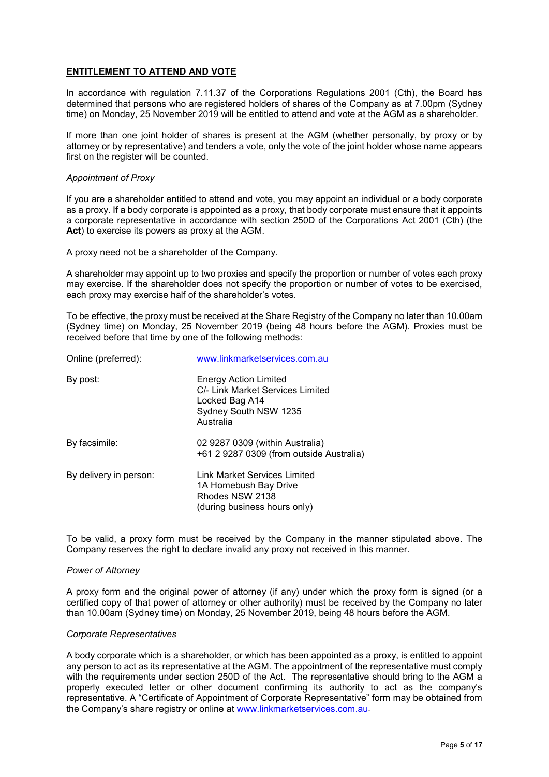### **ENTITLEMENT TO ATTEND AND VOTE**

In accordance with regulation 7.11.37 of the Corporations Regulations 2001 (Cth), the Board has determined that persons who are registered holders of shares of the Company as at 7.00pm (Sydney time) on Monday, 25 November 2019 will be entitled to attend and vote at the AGM as a shareholder.

If more than one joint holder of shares is present at the AGM (whether personally, by proxy or by attorney or by representative) and tenders a vote, only the vote of the joint holder whose name appears first on the register will be counted.

### *Appointment of Proxy*

If you are a shareholder entitled to attend and vote, you may appoint an individual or a body corporate as a proxy. If a body corporate is appointed as a proxy, that body corporate must ensure that it appoints a corporate representative in accordance with section 250D of the Corporations Act 2001 (Cth) (the **Act**) to exercise its powers as proxy at the AGM.

A proxy need not be a shareholder of the Company.

A shareholder may appoint up to two proxies and specify the proportion or number of votes each proxy may exercise. If the shareholder does not specify the proportion or number of votes to be exercised, each proxy may exercise half of the shareholder's votes.

To be effective, the proxy must be received at the Share Registry of the Company no later than 10.00am (Sydney time) on Monday, 25 November 2019 (being 48 hours before the AGM). Proxies must be received before that time by one of the following methods:

| Online (preferred):    | www.linkmarketservices.com.au                                                                                     |
|------------------------|-------------------------------------------------------------------------------------------------------------------|
| By post:               | Energy Action Limited<br>C/- Link Market Services Limited<br>Locked Bag A14<br>Sydney South NSW 1235<br>Australia |
| By facsimile:          | 02 9287 0309 (within Australia)<br>+61 2 9287 0309 (from outside Australia)                                       |
| By delivery in person: | Link Market Services Limited<br>1A Homebush Bay Drive<br>Rhodes NSW 2138<br>(during business hours only)          |

To be valid, a proxy form must be received by the Company in the manner stipulated above. The Company reserves the right to declare invalid any proxy not received in this manner.

### *Power of Attorney*

A proxy form and the original power of attorney (if any) under which the proxy form is signed (or a certified copy of that power of attorney or other authority) must be received by the Company no later than 10.00am (Sydney time) on Monday, 25 November 2019, being 48 hours before the AGM.

### *Corporate Representatives*

A body corporate which is a shareholder, or which has been appointed as a proxy, is entitled to appoint any person to act as its representative at the AGM. The appointment of the representative must comply with the requirements under section 250D of the Act. The representative should bring to the AGM a properly executed letter or other document confirming its authority to act as the company's representative. A "Certificate of Appointment of Corporate Representative" form may be obtained from the Company's share registry or online at www.linkmarketservices.com.au.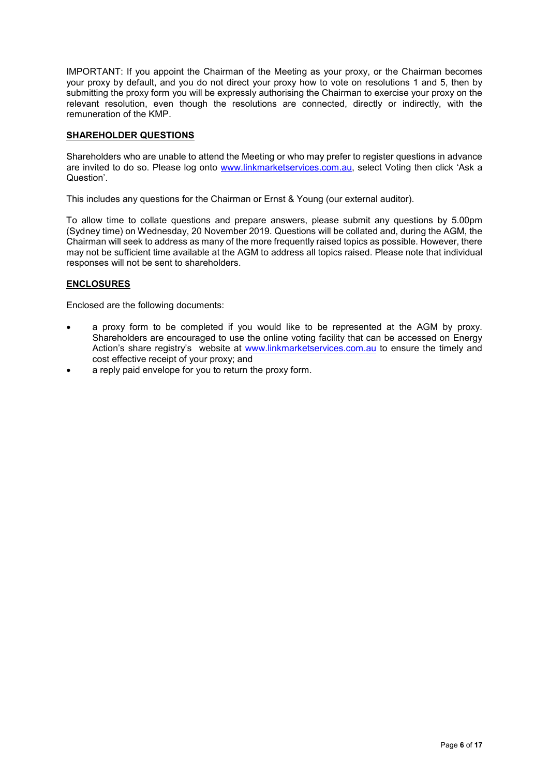IMPORTANT: If you appoint the Chairman of the Meeting as your proxy, or the Chairman becomes your proxy by default, and you do not direct your proxy how to vote on resolutions 1 and 5, then by submitting the proxy form you will be expressly authorising the Chairman to exercise your proxy on the relevant resolution, even though the resolutions are connected, directly or indirectly, with the remuneration of the KMP.

### **SHAREHOLDER QUESTIONS**

Shareholders who are unable to attend the Meeting or who may prefer to register questions in advance are invited to do so. Please log onto [www.linkmarketservices.com.au,](http://www.linkmarketservices.com.au/) select Voting then click 'Ask a Question'.

This includes any questions for the Chairman or Ernst & Young (our external auditor).

To allow time to collate questions and prepare answers, please submit any questions by 5.00pm (Sydney time) on Wednesday, 20 November 2019. Questions will be collated and, during the AGM, the Chairman will seek to address as many of the more frequently raised topics as possible. However, there may not be sufficient time available at the AGM to address all topics raised. Please note that individual responses will not be sent to shareholders.

### **ENCLOSURES**

Enclosed are the following documents:

- a proxy form to be completed if you would like to be represented at the AGM by proxy. Shareholders are encouraged to use the online voting facility that can be accessed on Energy Action's share registry's website at [www.linkmarketservices.com.au](http://www.linkmarketservices.com.au/) to ensure the timely and cost effective receipt of your proxy; and
- a reply paid envelope for you to return the proxy form.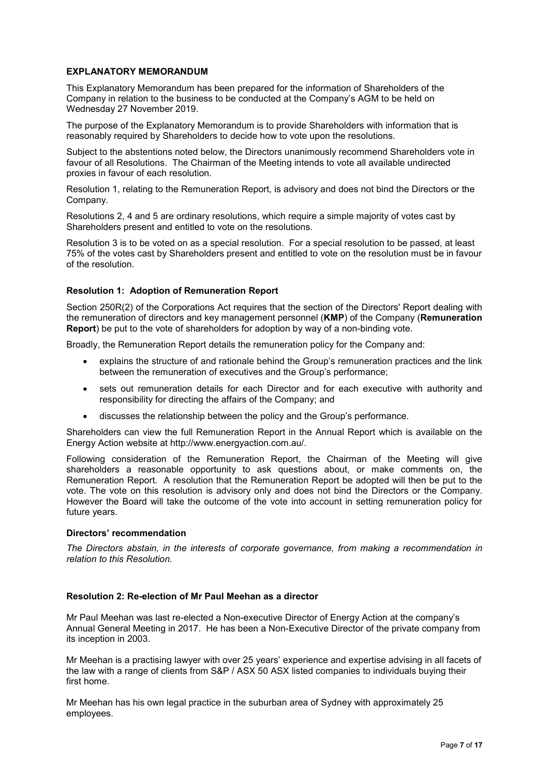### **EXPLANATORY MEMORANDUM**

This Explanatory Memorandum has been prepared for the information of Shareholders of the Company in relation to the business to be conducted at the Company's AGM to be held on Wednesday 27 November 2019.

The purpose of the Explanatory Memorandum is to provide Shareholders with information that is reasonably required by Shareholders to decide how to vote upon the resolutions.

Subject to the abstentions noted below, the Directors unanimously recommend Shareholders vote in favour of all Resolutions. The Chairman of the Meeting intends to vote all available undirected proxies in favour of each resolution.

Resolution 1, relating to the Remuneration Report, is advisory and does not bind the Directors or the Company.

Resolutions 2, 4 and 5 are ordinary resolutions, which require a simple majority of votes cast by Shareholders present and entitled to vote on the resolutions.

Resolution 3 is to be voted on as a special resolution. For a special resolution to be passed, at least 75% of the votes cast by Shareholders present and entitled to vote on the resolution must be in favour of the resolution.

### **Resolution 1: Adoption of Remuneration Report**

Section 250R(2) of the Corporations Act requires that the section of the Directors' Report dealing with the remuneration of directors and key management personnel (**KMP**) of the Company (**Remuneration Report**) be put to the vote of shareholders for adoption by way of a non-binding vote.

Broadly, the Remuneration Report details the remuneration policy for the Company and:

- explains the structure of and rationale behind the Group's remuneration practices and the link between the remuneration of executives and the Group's performance;
- sets out remuneration details for each Director and for each executive with authority and responsibility for directing the affairs of the Company; and
- discusses the relationship between the policy and the Group's performance.

Shareholders can view the full Remuneration Report in the Annual Report which is available on the Energy Action website at http://www.energyaction.com.au/.

Following consideration of the Remuneration Report, the Chairman of the Meeting will give shareholders a reasonable opportunity to ask questions about, or make comments on, the Remuneration Report. A resolution that the Remuneration Report be adopted will then be put to the vote. The vote on this resolution is advisory only and does not bind the Directors or the Company. However the Board will take the outcome of the vote into account in setting remuneration policy for future years.

### **Directors' recommendation**

*The Directors abstain, in the interests of corporate governance, from making a recommendation in relation to this Resolution.*

### **Resolution 2: Re-election of Mr Paul Meehan as a director**

Mr Paul Meehan was last re-elected a Non-executive Director of Energy Action at the company's Annual General Meeting in 2017. He has been a Non-Executive Director of the private company from its inception in 2003.

Mr Meehan is a practising lawyer with over 25 years' experience and expertise advising in all facets of the law with a range of clients from S&P / ASX 50 ASX listed companies to individuals buying their first home.

Mr Meehan has his own legal practice in the suburban area of Sydney with approximately 25 employees.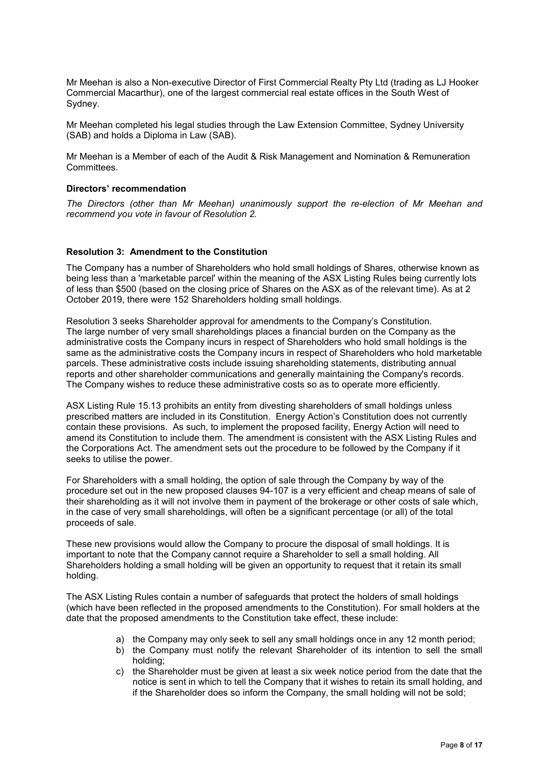Mr Meehan is also a Non-executive Director of First Commercial Realty Pty Ltd (trading as LJ Hooker Commercial Macarthur), one of the largest commercial real estate offices in the South West of Sydney.

Mr Meehan completed his legal studies through the Law Extension Committee, Sydney University (SAB) and holds a Diploma in Law (SAB).

Mr Meehan is a Member of each of the Audit & Risk Management and Nomination & Remuneration Committees.

### **Directors' recommendation**

*The Directors (other than Mr Meehan) unanimously support the re-election of Mr Meehan and recommend you vote in favour of Resolution 2.*

### **Resolution 3: Amendment to the Constitution**

The Company has a number of Shareholders who hold small holdings of Shares, otherwise known as being less than a 'marketable parcel' within the meaning of the ASX Listing Rules being currently lots of less than \$500 (based on the closing price of Shares on the ASX as of the relevant time). As at 2 October 2019, there were 152 Shareholders holding small holdings.

Resolution 3 seeks Shareholder approval for amendments to the Company's Constitution. The large number of very small shareholdings places a financial burden on the Company as the administrative costs the Company incurs in respect of Shareholders who hold small holdings is the same as the administrative costs the Company incurs in respect of Shareholders who hold marketable parcels. These administrative costs include issuing shareholding statements, distributing annual reports and other shareholder communications and generally maintaining the Company's records. The Company wishes to reduce these administrative costs so as to operate more efficiently.

ASX Listing Rule 15.13 prohibits an entity from divesting shareholders of small holdings unless prescribed matters are included in its Constitution. Energy Action's Constitution does not currently contain these provisions. As such, to implement the proposed facility, Energy Action will need to amend its Constitution to include them. The amendment is consistent with the ASX Listing Rules and the Corporations Act. The amendment sets out the procedure to be followed by the Company if it seeks to utilise the power.

For Shareholders with a small holding, the option of sale through the Company by way of the procedure set out in the new proposed clauses 94-107 is a very efficient and cheap means of sale of their shareholding as it will not involve them in payment of the brokerage or other costs of sale which, in the case of very small shareholdings, will often be a significant percentage (or all) of the total proceeds of sale.

These new provisions would allow the Company to procure the disposal of small holdings. It is important to note that the Company cannot require a Shareholder to sell a small holding. All Shareholders holding a small holding will be given an opportunity to request that it retain its small holding.

The ASX Listing Rules contain a number of safeguards that protect the holders of small holdings (which have been reflected in the proposed amendments to the Constitution). For small holders at the date that the proposed amendments to the Constitution take effect, these include:

- a) the Company may only seek to sell any small holdings once in any 12 month period;
- b) the Company must notify the relevant Shareholder of its intention to sell the small holding;
- c) the Shareholder must be given at least a six week notice period from the date that the notice is sent in which to tell the Company that it wishes to retain its small holding, and if the Shareholder does so inform the Company, the small holding will not be sold;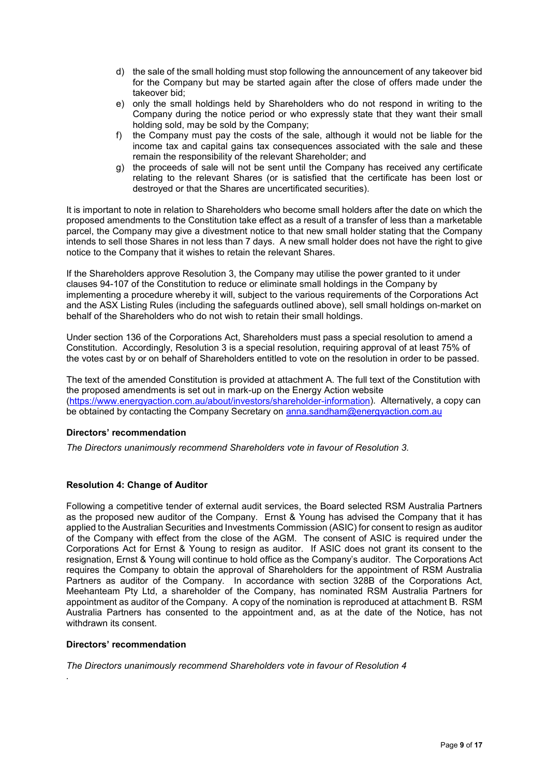- d) the sale of the small holding must stop following the announcement of any takeover bid for the Company but may be started again after the close of offers made under the takeover bid;
- e) only the small holdings held by Shareholders who do not respond in writing to the Company during the notice period or who expressly state that they want their small holding sold, may be sold by the Company;
- f) the Company must pay the costs of the sale, although it would not be liable for the income tax and capital gains tax consequences associated with the sale and these remain the responsibility of the relevant Shareholder; and
- g) the proceeds of sale will not be sent until the Company has received any certificate relating to the relevant Shares (or is satisfied that the certificate has been lost or destroyed or that the Shares are uncertificated securities).

It is important to note in relation to Shareholders who become small holders after the date on which the proposed amendments to the Constitution take effect as a result of a transfer of less than a marketable parcel, the Company may give a divestment notice to that new small holder stating that the Company intends to sell those Shares in not less than 7 days. A new small holder does not have the right to give notice to the Company that it wishes to retain the relevant Shares.

If the Shareholders approve Resolution 3, the Company may utilise the power granted to it under clauses 94-107 of the Constitution to reduce or eliminate small holdings in the Company by implementing a procedure whereby it will, subject to the various requirements of the Corporations Act and the ASX Listing Rules (including the safeguards outlined above), sell small holdings on-market on behalf of the Shareholders who do not wish to retain their small holdings.

Under section 136 of the Corporations Act, Shareholders must pass a special resolution to amend a Constitution. Accordingly, Resolution 3 is a special resolution, requiring approval of at least 75% of the votes cast by or on behalf of Shareholders entitled to vote on the resolution in order to be passed.

The text of the amended Constitution is provided at attachment A. The full text of the Constitution with the proposed amendments is set out in mark-up on the Energy Action website [\(https://www.energyaction.com.au/about/investors/shareholder-information\)](https://www.energyaction.com.au/about/investors/shareholder-information). Alternatively, a copy can be obtained by contacting the Company Secretary on [anna.sandham@energyaction.com.au](mailto:anna.sandham@energyaction.com.au)

### **Directors' recommendation**

*The Directors unanimously recommend Shareholders vote in favour of Resolution 3.*

### **Resolution 4: Change of Auditor**

Following a competitive tender of external audit services, the Board selected RSM Australia Partners as the proposed new auditor of the Company. Ernst & Young has advised the Company that it has applied to the Australian Securities and Investments Commission (ASIC) for consent to resign as auditor of the Company with effect from the close of the AGM. The consent of ASIC is required under the Corporations Act for Ernst & Young to resign as auditor. If ASIC does not grant its consent to the resignation, Ernst & Young will continue to hold office as the Company's auditor. The Corporations Act requires the Company to obtain the approval of Shareholders for the appointment of RSM Australia Partners as auditor of the Company. In accordance with section 328B of the Corporations Act, Meehanteam Pty Ltd, a shareholder of the Company, has nominated RSM Australia Partners for appointment as auditor of the Company. A copy of the nomination is reproduced at attachment B. RSM Australia Partners has consented to the appointment and, as at the date of the Notice, has not withdrawn its consent.

### **Directors' recommendation**

*.*

*The Directors unanimously recommend Shareholders vote in favour of Resolution 4*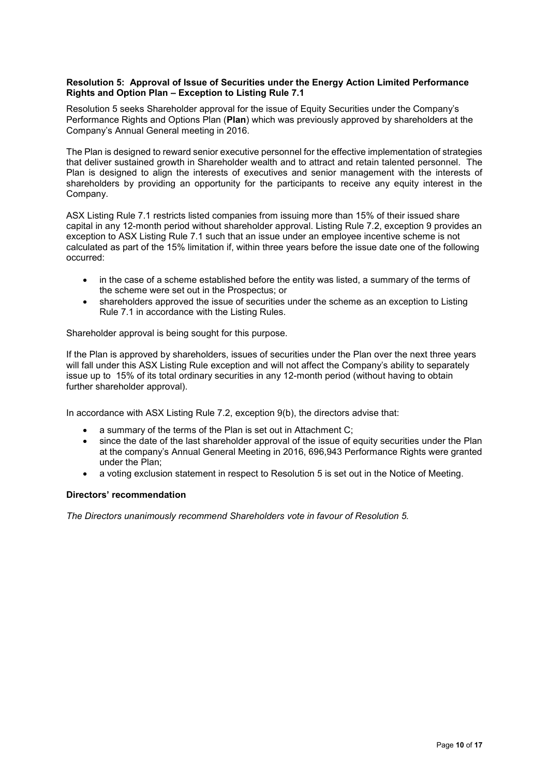### **Resolution 5: Approval of Issue of Securities under the Energy Action Limited Performance Rights and Option Plan – Exception to Listing Rule 7.1**

Resolution 5 seeks Shareholder approval for the issue of Equity Securities under the Company's Performance Rights and Options Plan (**Plan**) which was previously approved by shareholders at the Company's Annual General meeting in 2016.

The Plan is designed to reward senior executive personnel for the effective implementation of strategies that deliver sustained growth in Shareholder wealth and to attract and retain talented personnel. The Plan is designed to align the interests of executives and senior management with the interests of shareholders by providing an opportunity for the participants to receive any equity interest in the Company.

ASX Listing Rule 7.1 restricts listed companies from issuing more than 15% of their issued share capital in any 12-month period without shareholder approval. Listing Rule 7.2, exception 9 provides an exception to ASX Listing Rule 7.1 such that an issue under an employee incentive scheme is not calculated as part of the 15% limitation if, within three years before the issue date one of the following occurred:

- in the case of a scheme established before the entity was listed, a summary of the terms of the scheme were set out in the Prospectus; or
- shareholders approved the issue of securities under the scheme as an exception to Listing Rule 7.1 in accordance with the Listing Rules.

Shareholder approval is being sought for this purpose.

If the Plan is approved by shareholders, issues of securities under the Plan over the next three years will fall under this ASX Listing Rule exception and will not affect the Company's ability to separately issue up to 15% of its total ordinary securities in any 12-month period (without having to obtain further shareholder approval).

In accordance with ASX Listing Rule 7.2, exception 9(b), the directors advise that:

- a summary of the terms of the Plan is set out in Attachment C;
- since the date of the last shareholder approval of the issue of equity securities under the Plan at the company's Annual General Meeting in 2016, 696,943 Performance Rights were granted under the Plan;
- a voting exclusion statement in respect to Resolution 5 is set out in the Notice of Meeting.

### **Directors' recommendation**

*The Directors unanimously recommend Shareholders vote in favour of Resolution 5.*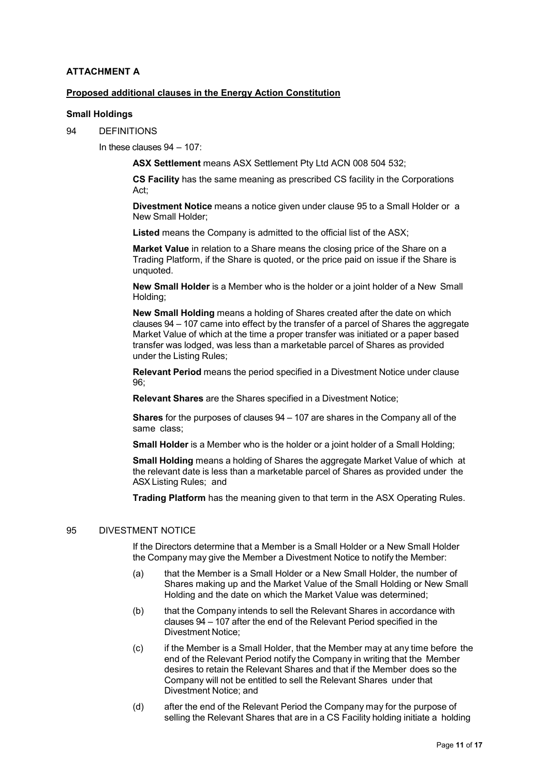## **ATTACHMENT A**

### **Proposed additional clauses in the Energy Action Constitution**

#### **Small Holdings**

94 DEFINITIONS

In these clauses 94 – 107:

**ASX Settlement** means ASX Settlement Pty Ltd ACN 008 504 532;

**CS Facility** has the same meaning as prescribed CS facility in the Corporations Act;

**Divestment Notice** means a notice given under clause 95 to a Small Holder or a New Small Holder;

Listed means the Company is admitted to the official list of the ASX;

**Market Value** in relation to a Share means the closing price of the Share on a Trading Platform, if the Share is quoted, or the price paid on issue if the Share is unquoted.

**New Small Holder** is a Member who is the holder or a joint holder of a New Small Holding;

**New Small Holding** means a holding of Shares created after the date on which clauses 94 – 107 came into effect by the transfer of a parcel of Shares the aggregate Market Value of which at the time a proper transfer was initiated or a paper based transfer was lodged, was less than a marketable parcel of Shares as provided under the Listing Rules;

**Relevant Period** means the period specified in a Divestment Notice under clause 96;

**Relevant Shares** are the Shares specified in a Divestment Notice;

**Shares** for the purposes of clauses 94 – 107 are shares in the Company all of the same class;

**Small Holder** is a Member who is the holder or a joint holder of a Small Holding;

**Small Holding** means a holding of Shares the aggregate Market Value of which at the relevant date is less than a marketable parcel of Shares as provided under the ASX Listing Rules; and

**Trading Platform** has the meaning given to that term in the ASX Operating Rules.

### 95 DIVESTMENT NOTICE

If the Directors determine that a Member is a Small Holder or a New Small Holder the Company may give the Member a Divestment Notice to notify the Member:

- (a) that the Member is a Small Holder or a New Small Holder, the number of Shares making up and the Market Value of the Small Holding or New Small Holding and the date on which the Market Value was determined;
- (b) that the Company intends to sell the Relevant Shares in accordance with clauses 94 – 107 after the end of the Relevant Period specified in the Divestment Notice;
- (c) if the Member is a Small Holder, that the Member may at any time before the end of the Relevant Period notify the Company in writing that the Member desires to retain the Relevant Shares and that if the Member does so the Company will not be entitled to sell the Relevant Shares under that Divestment Notice; and
- (d) after the end of the Relevant Period the Company may for the purpose of selling the Relevant Shares that are in a CS Facility holding initiate a holding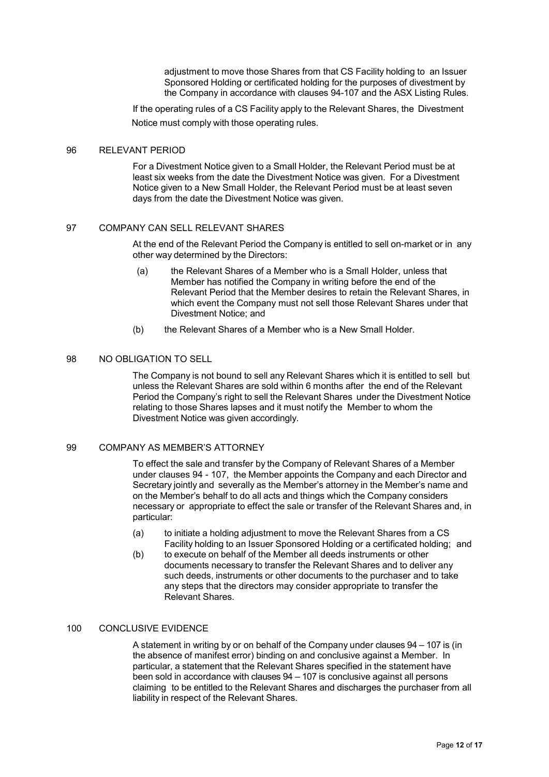adjustment to move those Shares from that CS Facility holding to an Issuer Sponsored Holding or certificated holding for the purposes of divestment by the Company in accordance with clauses 94-107 and the ASX Listing Rules.

If the operating rules of a CS Facility apply to the Relevant Shares, the Divestment Notice must comply with those operating rules.

#### 96 RELEVANT PERIOD

For a Divestment Notice given to a Small Holder, the Relevant Period must be at least six weeks from the date the Divestment Notice was given. For a Divestment Notice given to a New Small Holder, the Relevant Period must be at least seven days from the date the Divestment Notice was given.

### 97 COMPANY CAN SELL RELEVANT SHARES

At the end of the Relevant Period the Company is entitled to sell on-market or in any other way determined by the Directors:

- (a) the Relevant Shares of a Member who is a Small Holder, unless that Member has notified the Company in writing before the end of the Relevant Period that the Member desires to retain the Relevant Shares, in which event the Company must not sell those Relevant Shares under that Divestment Notice; and
- (b) the Relevant Shares of a Member who is a New Small Holder.

### 98 NO OBLIGATION TO SELL

The Company is not bound to sell any Relevant Shares which it is entitled to sell but unless the Relevant Shares are sold within 6 months after the end of the Relevant Period the Company's right to sell the Relevant Shares under the Divestment Notice relating to those Shares lapses and it must notify the Member to whom the Divestment Notice was given accordingly.

#### 99 COMPANY AS MEMBER'S ATTORNEY

To effect the sale and transfer by the Company of Relevant Shares of a Member under clauses 94 - 107, the Member appoints the Company and each Director and Secretary jointly and severally as the Member's attorney in the Member's name and on the Member's behalf to do all acts and things which the Company considers necessary or appropriate to effect the sale or transfer of the Relevant Shares and, in particular:

- (a) to initiate a holding adjustment to move the Relevant Shares from a CS Facility holding to an Issuer Sponsored Holding or a certificated holding; and
- (b) to execute on behalf of the Member all deeds instruments or other documents necessary to transfer the Relevant Shares and to deliver any such deeds, instruments or other documents to the purchaser and to take any steps that the directors may consider appropriate to transfer the Relevant Shares.

#### 100 CONCLUSIVE EVIDENCE

A statement in writing by or on behalf of the Company under clauses 94 – 107 is (in the absence of manifest error) binding on and conclusive against a Member. In particular, a statement that the Relevant Shares specified in the statement have been sold in accordance with clauses 94 – 107 is conclusive against all persons claiming to be entitled to the Relevant Shares and discharges the purchaser from all liability in respect of the Relevant Shares.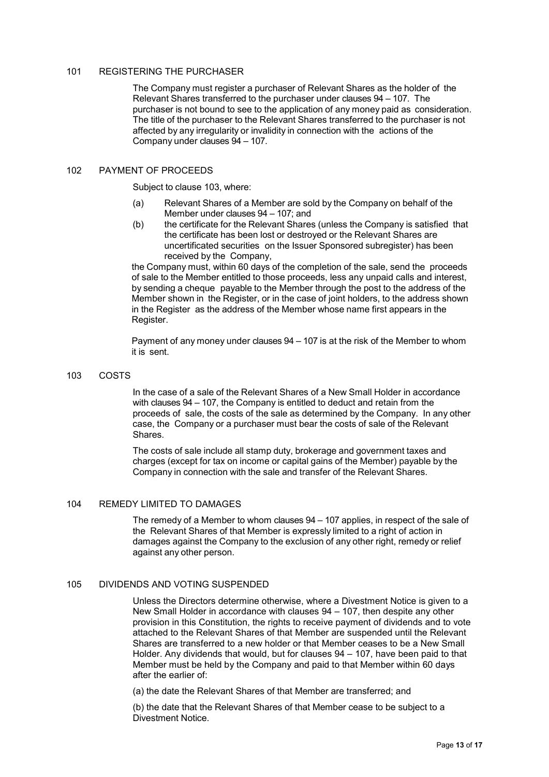### 101 REGISTERING THE PURCHASER

The Company must register a purchaser of Relevant Shares as the holder of the Relevant Shares transferred to the purchaser under clauses 94 – 107. The purchaser is not bound to see to the application of any money paid as consideration. The title of the purchaser to the Relevant Shares transferred to the purchaser is not affected by any irregularity or invalidity in connection with the actions of the Company under clauses 94 – 107.

### 102 PAYMENT OF PROCEEDS

Subject to clause 103, where:

- (a) Relevant Shares of a Member are sold by the Company on behalf of the Member under clauses 94 – 107; and
- (b) the certificate for the Relevant Shares (unless the Company is satisfied that the certificate has been lost or destroyed or the Relevant Shares are uncertificated securities on the Issuer Sponsored subregister) has been received by the Company,

the Company must, within 60 days of the completion of the sale, send the proceeds of sale to the Member entitled to those proceeds, less any unpaid calls and interest, by sending a cheque payable to the Member through the post to the address of the Member shown in the Register, or in the case of joint holders, to the address shown in the Register as the address of the Member whose name first appears in the Register.

Payment of any money under clauses 94 – 107 is at the risk of the Member to whom it is sent.

103 COSTS

In the case of a sale of the Relevant Shares of a New Small Holder in accordance with clauses 94 – 107, the Company is entitled to deduct and retain from the proceeds of sale, the costs of the sale as determined by the Company. In any other case, the Company or a purchaser must bear the costs of sale of the Relevant Shares.

The costs of sale include all stamp duty, brokerage and government taxes and charges (except for tax on income or capital gains of the Member) payable by the Company in connection with the sale and transfer of the Relevant Shares.

### 104 REMEDY LIMITED TO DAMAGES

The remedy of a Member to whom clauses 94 – 107 applies, in respect of the sale of the Relevant Shares of that Member is expressly limited to a right of action in damages against the Company to the exclusion of any other right, remedy or relief against any other person.

#### 105 DIVIDENDS AND VOTING SUSPENDED

Unless the Directors determine otherwise, where a Divestment Notice is given to a New Small Holder in accordance with clauses 94 – 107, then despite any other provision in this Constitution, the rights to receive payment of dividends and to vote attached to the Relevant Shares of that Member are suspended until the Relevant Shares are transferred to a new holder or that Member ceases to be a New Small Holder. Any dividends that would, but for clauses 94 – 107, have been paid to that Member must be held by the Company and paid to that Member within 60 days after the earlier of:

(a) the date the Relevant Shares of that Member are transferred; and

(b) the date that the Relevant Shares of that Member cease to be subject to a Divestment Notice.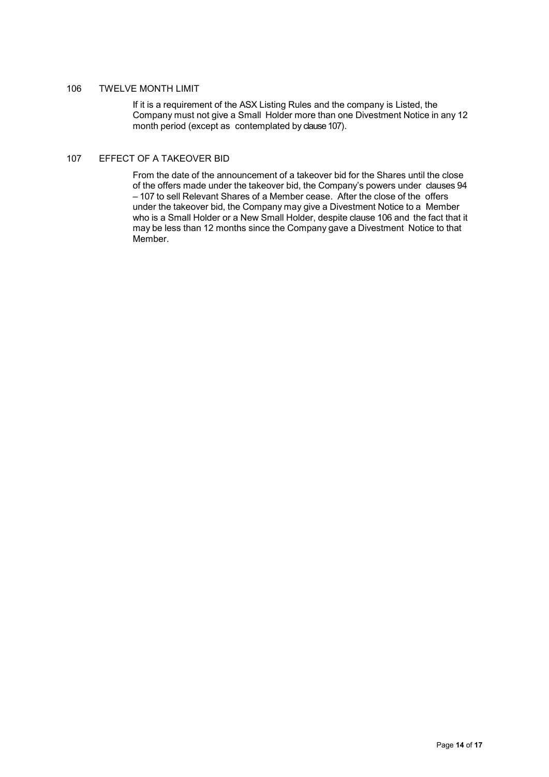### 106 TWELVE MONTH LIMIT

If it is a requirement of the ASX Listing Rules and the company is Listed, the Company must not give a Small Holder more than one Divestment Notice in any 12 month period (except as contemplated by clause 107).

#### 107 EFFECT OF A TAKEOVER BID

From the date of the announcement of a takeover bid for the Shares until the close of the offers made under the takeover bid, the Company's powers under clauses 94 – 107 to sell Relevant Shares of a Member cease. After the close of the offers under the takeover bid, the Company may give a Divestment Notice to a Member who is a Small Holder or a New Small Holder, despite clause 106 and the fact that it may be less than 12 months since the Company gave a Divestment Notice to that Member.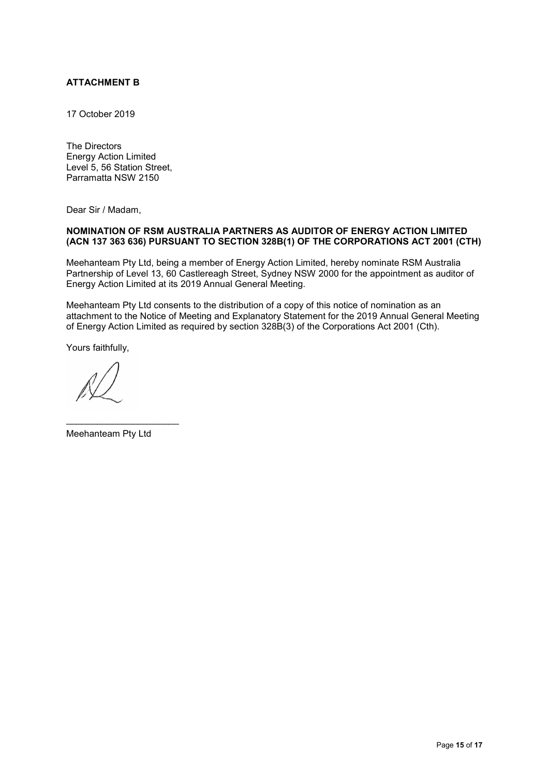# **ATTACHMENT B**

17 October 2019

The Directors Energy Action Limited Level 5, 56 Station Street, Parramatta NSW 2150

Dear Sir / Madam,

### **NOMINATION OF RSM AUSTRALIA PARTNERS AS AUDITOR OF ENERGY ACTION LIMITED (ACN 137 363 636) PURSUANT TO SECTION 328B(1) OF THE CORPORATIONS ACT 2001 (CTH)**

Meehanteam Pty Ltd, being a member of Energy Action Limited, hereby nominate RSM Australia Partnership of Level 13, 60 Castlereagh Street, Sydney NSW 2000 for the appointment as auditor of Energy Action Limited at its 2019 Annual General Meeting.

Meehanteam Pty Ltd consents to the distribution of a copy of this notice of nomination as an attachment to the Notice of Meeting and Explanatory Statement for the 2019 Annual General Meeting of Energy Action Limited as required by section 328B(3) of the Corporations Act 2001 (Cth).

Yours faithfully,

Meehanteam Pty Ltd

\_\_\_\_\_\_\_\_\_\_\_\_\_\_\_\_\_\_\_\_\_\_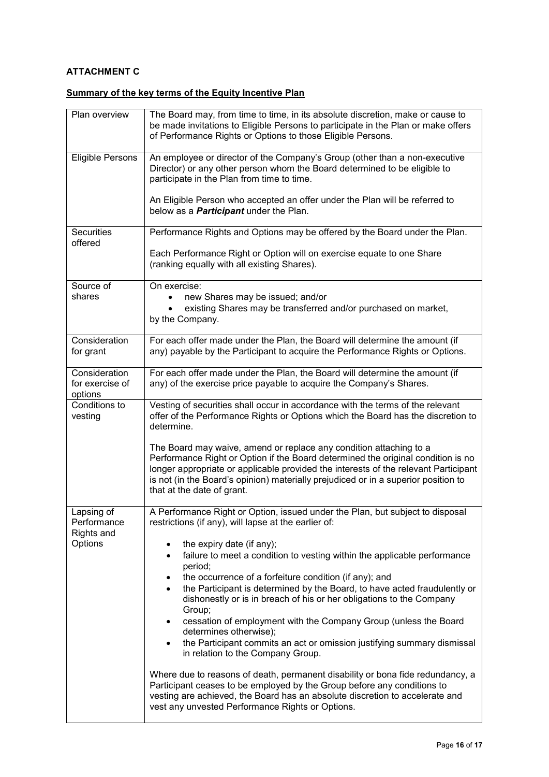# **ATTACHMENT C**

# **Summary of the key terms of the Equity Incentive Plan**

| Plan overview                               | The Board may, from time to time, in its absolute discretion, make or cause to<br>be made invitations to Eligible Persons to participate in the Plan or make offers<br>of Performance Rights or Options to those Eligible Persons.                                                                                                                                |
|---------------------------------------------|-------------------------------------------------------------------------------------------------------------------------------------------------------------------------------------------------------------------------------------------------------------------------------------------------------------------------------------------------------------------|
| <b>Eligible Persons</b>                     | An employee or director of the Company's Group (other than a non-executive<br>Director) or any other person whom the Board determined to be eligible to<br>participate in the Plan from time to time.                                                                                                                                                             |
|                                             | An Eligible Person who accepted an offer under the Plan will be referred to<br>below as a <b>Participant</b> under the Plan.                                                                                                                                                                                                                                      |
| <b>Securities</b><br>offered                | Performance Rights and Options may be offered by the Board under the Plan.                                                                                                                                                                                                                                                                                        |
|                                             | Each Performance Right or Option will on exercise equate to one Share<br>(ranking equally with all existing Shares).                                                                                                                                                                                                                                              |
| Source of<br>shares                         | On exercise:<br>new Shares may be issued; and/or                                                                                                                                                                                                                                                                                                                  |
|                                             | existing Shares may be transferred and/or purchased on market,<br>by the Company.                                                                                                                                                                                                                                                                                 |
| Consideration<br>for grant                  | For each offer made under the Plan, the Board will determine the amount (if<br>any) payable by the Participant to acquire the Performance Rights or Options.                                                                                                                                                                                                      |
| Consideration<br>for exercise of<br>options | For each offer made under the Plan, the Board will determine the amount (if<br>any) of the exercise price payable to acquire the Company's Shares.                                                                                                                                                                                                                |
| Conditions to<br>vesting                    | Vesting of securities shall occur in accordance with the terms of the relevant<br>offer of the Performance Rights or Options which the Board has the discretion to<br>determine.                                                                                                                                                                                  |
|                                             | The Board may waive, amend or replace any condition attaching to a<br>Performance Right or Option if the Board determined the original condition is no<br>longer appropriate or applicable provided the interests of the relevant Participant<br>is not (in the Board's opinion) materially prejudiced or in a superior position to<br>that at the date of grant. |
| Lapsing of<br>Performance<br>Rights and     | A Performance Right or Option, issued under the Plan, but subject to disposal<br>restrictions (if any), will lapse at the earlier of:                                                                                                                                                                                                                             |
| Options                                     | the expiry date (if any);<br>٠<br>failure to meet a condition to vesting within the applicable performance<br>$\bullet$<br>period;                                                                                                                                                                                                                                |
|                                             | the occurrence of a forfeiture condition (if any); and<br>٠<br>the Participant is determined by the Board, to have acted fraudulently or<br>$\bullet$<br>dishonestly or is in breach of his or her obligations to the Company<br>Group;                                                                                                                           |
|                                             | cessation of employment with the Company Group (unless the Board<br>$\bullet$<br>determines otherwise);<br>the Participant commits an act or omission justifying summary dismissal<br>٠                                                                                                                                                                           |
|                                             | in relation to the Company Group.                                                                                                                                                                                                                                                                                                                                 |
|                                             | Where due to reasons of death, permanent disability or bona fide redundancy, a<br>Participant ceases to be employed by the Group before any conditions to<br>vesting are achieved, the Board has an absolute discretion to accelerate and<br>vest any unvested Performance Rights or Options.                                                                     |